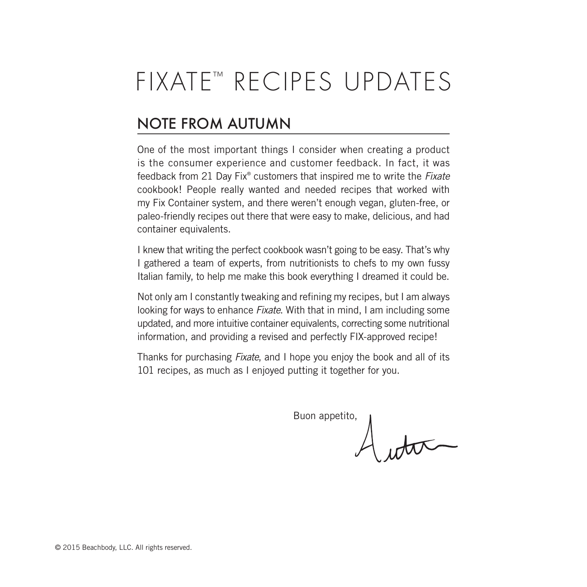# FIXATE™ RECIPES UPDATES

## NOTE FROM AUTUMN

One of the most important things I consider when creating a product is the consumer experience and customer feedback. In fact, it was feedback from 21 Day Fix® customers that inspired me to write the *Fixate* cookbook! People really wanted and needed recipes that worked with my Fix Container system, and there weren't enough vegan, gluten-free, or paleo-friendly recipes out there that were easy to make, delicious, and had container equivalents.

I knew that writing the perfect cookbook wasn't going to be easy. That's why I gathered a team of experts, from nutritionists to chefs to my own fussy Italian family, to help me make this book everything I dreamed it could be.

Not only am I constantly tweaking and refining my recipes, but I am always looking for ways to enhance *Fixate*. With that in mind, I am including some updated, and more intuitive container equivalents, correcting some nutritional information, and providing a revised and perfectly FIX-approved recipe!

Thanks for purchasing *Fixate*, and I hope you enjoy the book and all of its 101 recipes, as much as I enjoyed putting it together for you.

Buon appetito,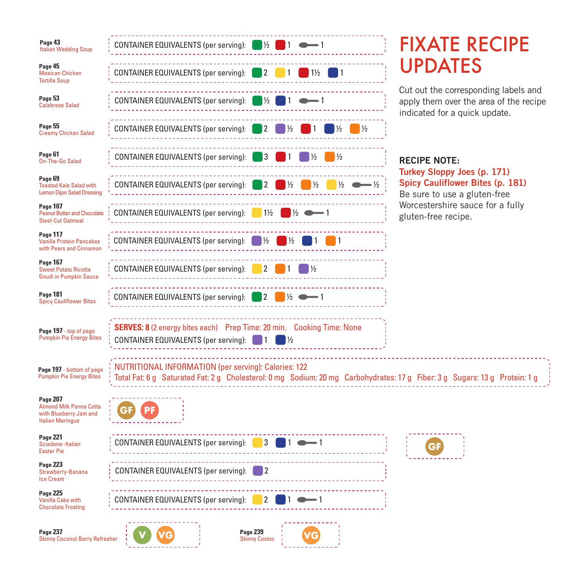| Page 43<br><b>Italian Wedding Soup</b>                                                             | CONTAINER EQUIVALENTS (per serving):<br>$\frac{1}{2}$<br>$\vert$ 1                                                                                                                        | <b>FIXATE RECIPE</b>                                                                                            |  |
|----------------------------------------------------------------------------------------------------|-------------------------------------------------------------------------------------------------------------------------------------------------------------------------------------------|-----------------------------------------------------------------------------------------------------------------|--|
| Page 45<br><b>Mexican Chicken</b><br><b>Tortilla Soup</b>                                          | CONTAINER EQUIVALENTS (per serving):<br>$1\frac{1}{2}$                                                                                                                                    | <b>UPDATES</b>                                                                                                  |  |
| Page 53<br><b>Calabrese Salad</b>                                                                  | CONTAINER EQUIVALENTS (per serving):                                                                                                                                                      | Cut out the corresponding labels and<br>apply them over the area of the recipe<br>indicated for a quick update. |  |
| Page 55<br><b>Creamy Chicken Salad</b>                                                             | CONTAINER EQUIVALENTS (per serving):<br>⅓                                                                                                                                                 |                                                                                                                 |  |
| Page 61<br>On-The-Go Salad                                                                         | CONTAINER EQUIVALENTS (per serving):                                                                                                                                                      | <b>RECIPE NOTE:</b>                                                                                             |  |
| Page 69<br><b>Toasted Kale Salad with</b><br><b>Lemon Dijon Salad Dressing</b>                     | CONTAINER EQUIVALENTS (per serving):<br>$\frac{1}{2}$<br>$\frac{1}{2}$                                                                                                                    | Turkey Sloppy Joes (p. 171)<br><b>Spicy Cauliflower Bites (p. 181)</b><br>Be sure to use a gluten-free          |  |
| <b>Page 107</b><br><b>Peanut Butter and Chocolate</b><br><b>Steel-Cut Oatmeal</b>                  | CONTAINER EQUIVALENTS (per serving):<br>$1\frac{1}{2}$                                                                                                                                    | Worcestershire sauce for a fully<br>gluten-free recipe.                                                         |  |
| Page 117<br><b>Vanilla Protein Pancakes</b><br>with Pears and Cinnamon                             | CONTAINER EQUIVALENTS (per serving):<br>⅓                                                                                                                                                 |                                                                                                                 |  |
| <b>Page 167</b><br><b>Sweet Potato Ricotta</b><br><b>Gnudi in Pumpkin Sauce</b>                    | CONTAINER EQUIVALENTS (per serving):<br>2                                                                                                                                                 |                                                                                                                 |  |
| <b>Page 181</b><br><b>Spicy Cauliflower Bites</b>                                                  | CONTAINER EQUIVALENTS (per serving):<br>$\frac{1}{2}$<br>2                                                                                                                                |                                                                                                                 |  |
| Page 197 - top of page<br><b>Pumpkin Pie Energy Bites</b>                                          | SERVES: 8 (2 energy bites each) Prep Time: 20 min. Cooking Time: None<br>CONTAINER EQUIVALENTS (per serving):<br>$\frac{1}{2}$                                                            |                                                                                                                 |  |
| Page 197 - bottom of page<br><b>Pumpkin Pie Energy Bites</b>                                       | <b>NUTRITIONAL INFORMATION (per serving): Calories: 122</b><br>Total Fat: 6 g Saturated Fat: 2 g Cholesterol: 0 mg Sodium: 20 mg Carbohydrates: 17 g Fiber: 3 g Sugars: 13 g Protein: 1 g |                                                                                                                 |  |
| Page 207<br><b>Almond Milk Panna Cotta</b><br>with Blueberry Jam and<br><b>Italian Meringue</b>    | PF<br>G                                                                                                                                                                                   |                                                                                                                 |  |
| <b>Page 221</b><br>Sciadone-Italian<br><b>Easter Pie</b>                                           | CONTAINER EQUIVALENTS (per serving):<br>3                                                                                                                                                 | GF                                                                                                              |  |
| <b>Page 223</b><br>Strawberry-Banana<br><b>Ice Cream</b>                                           | CONTAINER EQUIVALENTS (per serving):                                                                                                                                                      |                                                                                                                 |  |
| <b>Page 225</b><br><b>Vanilla Cake with</b><br><b>Chocolate Frosting</b>                           | CONTAINER EQUIVALENTS (per serving):<br>2                                                                                                                                                 |                                                                                                                 |  |
| <b>Page 239</b><br><b>Page 237</b><br><b>Skinny Coconut Berry Refresher</b><br><b>Skinny Cosmo</b> |                                                                                                                                                                                           |                                                                                                                 |  |